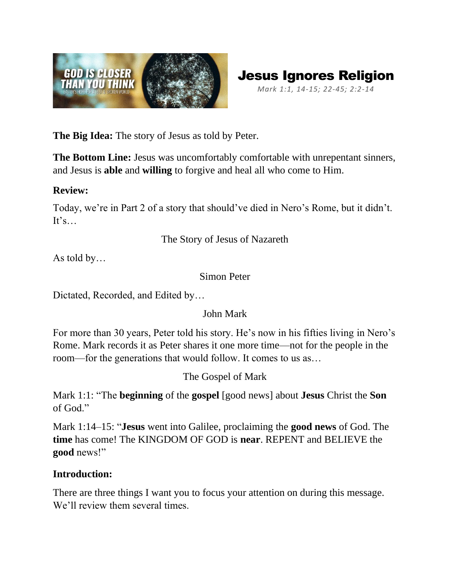



**The Big Idea:** The story of Jesus as told by Peter.

**The Bottom Line:** Jesus was uncomfortably comfortable with unrepentant sinners, and Jesus is **able** and **willing** to forgive and heal all who come to Him.

#### **Review:**

Today, we're in Part 2 of a story that should've died in Nero's Rome, but it didn't.  $It's...$ 

The Story of Jesus of Nazareth

As told by…

Simon Peter

Dictated, Recorded, and Edited by…

### John Mark

For more than 30 years, Peter told his story. He's now in his fifties living in Nero's Rome. Mark records it as Peter shares it one more time—not for the people in the room—for the generations that would follow. It comes to us as…

The Gospel of Mark

Mark 1:1: "The **beginning** of the **gospel** [good news] about **Jesus** Christ the **Son** of God."

Mark 1:14–15: "**Jesus** went into Galilee, proclaiming the **good news** of God. The **time** has come! The KINGDOM OF GOD is **near**. REPENT and BELIEVE the **good** news!"

### **Introduction:**

There are three things I want you to focus your attention on during this message. We'll review them several times.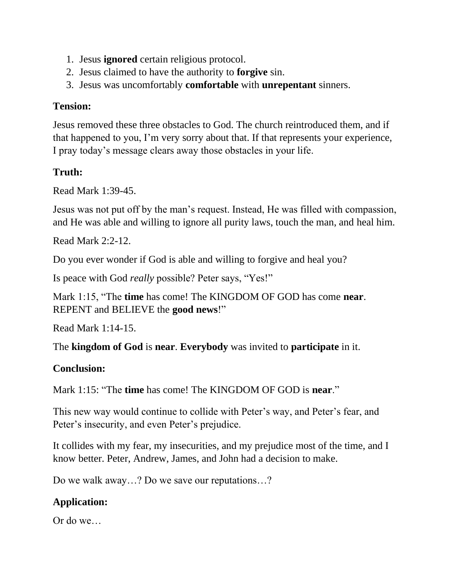- 1. Jesus **ignored** certain religious protocol.
- 2. Jesus claimed to have the authority to **forgive** sin.
- 3. Jesus was uncomfortably **comfortable** with **unrepentant** sinners.

### **Tension:**

Jesus removed these three obstacles to God. The church reintroduced them, and if that happened to you, I'm very sorry about that. If that represents your experience, I pray today's message clears away those obstacles in your life.

## **Truth:**

Read Mark 1:39-45.

Jesus was not put off by the man's request. Instead, He was filled with compassion, and He was able and willing to ignore all purity laws, touch the man, and heal him.

Read Mark 2:2-12.

Do you ever wonder if God is able and willing to forgive and heal you?

Is peace with God *really* possible? Peter says, "Yes!"

Mark 1:15, "The **time** has come! The KINGDOM OF GOD has come **near**. REPENT and BELIEVE the **good news**!"

Read Mark 1:14-15.

The **kingdom of God** is **near**. **Everybody** was invited to **participate** in it.

### **Conclusion:**

Mark 1:15: "The **time** has come! The KINGDOM OF GOD is **near**."

This new way would continue to collide with Peter's way, and Peter's fear, and Peter's insecurity, and even Peter's prejudice.

It collides with my fear, my insecurities, and my prejudice most of the time, and I know better. Peter, Andrew, James, and John had a decision to make.

Do we walk away…? Do we save our reputations…?

# **Application:**

Or do we…